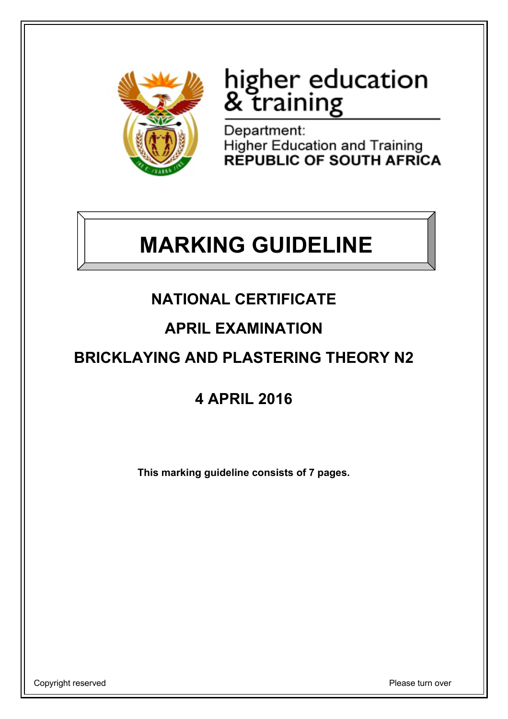

# higher education<br>& training

Department: **Higher Education and Training<br>REPUBLIC OF SOUTH AFRICA** 

## **MARKING GUIDELINE**

## **NATIONAL CERTIFICATE**

### **APRIL EXAMINATION**

## **BRICKLAYING AND PLASTERING THEORY N2**

## **4 APRIL 2016**

**This marking guideline consists of 7 pages.**

Copyright reserved **Please** turn over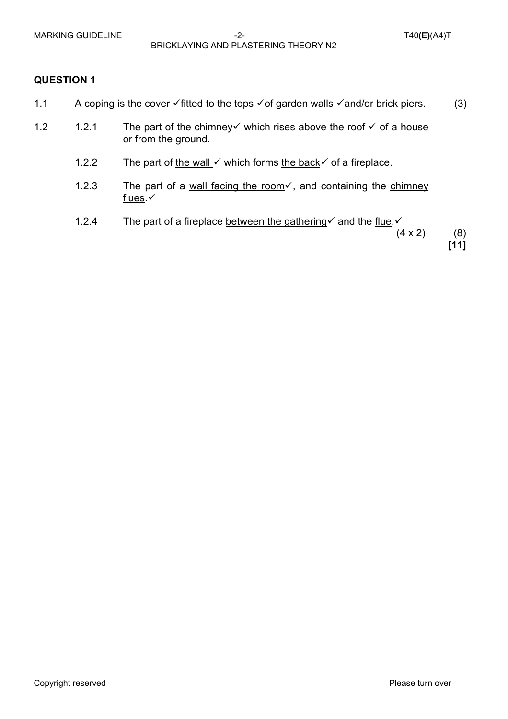MARKING GUIDELINE  $-2$ -<br>T40**(E)**(A4)T BRICKLAYING AND PLASTERING THEORY N2

#### **QUESTION 1**

- 1.1 A coping is the cover  $\checkmark$  fitted to the tops  $\checkmark$  of garden walls  $\checkmark$  and/or brick piers. (3)
- 1.2 1.2.1 The part of the chimney which rises above the roof  $\checkmark$  of a house or from the ground.
	- 1.2.2 The part of the wall v which forms the back is of a fireplace.
	- 1.2.3 The part of a wall facing the room $\checkmark$ , and containing the chimney flues. $\checkmark$
	- 1.2.4 The part of a fireplace between the gathering and the flue.

 $(4 \times 2)$  (8) **[11]**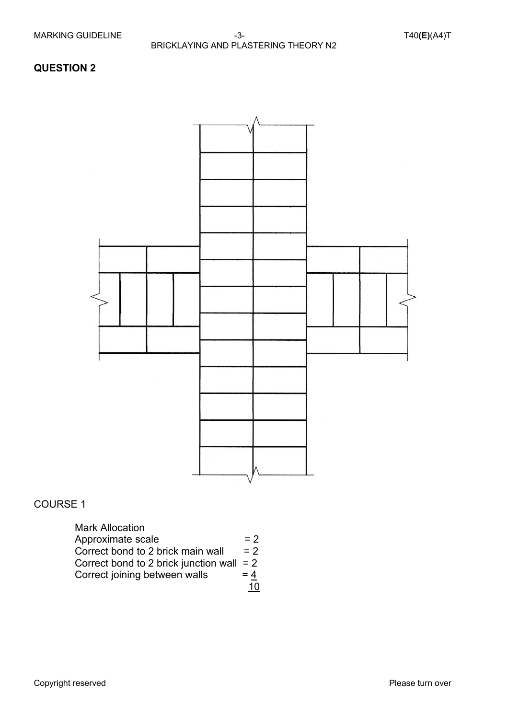#### **QUESTION 2**



#### COURSE 1

| <b>Mark Allocation</b>                |       |
|---------------------------------------|-------|
| Approximate scale                     | $= 2$ |
| Correct bond to 2 brick main wall     | $= 2$ |
| Correct bond to 2 brick junction wall | $= 2$ |
| Correct joining between walls         | $= 4$ |
|                                       |       |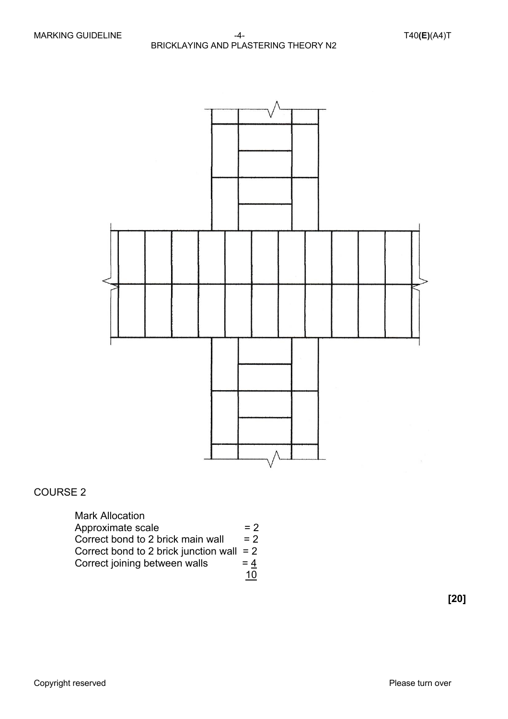

#### COURSE 2

| <b>Mark Allocation</b>                      |       |
|---------------------------------------------|-------|
| Approximate scale                           | $= 2$ |
| Correct bond to 2 brick main wall           | $= 2$ |
| Correct bond to 2 brick junction wall $= 2$ |       |
| Correct joining between walls               | $= 4$ |
|                                             | 10.   |

**[20]**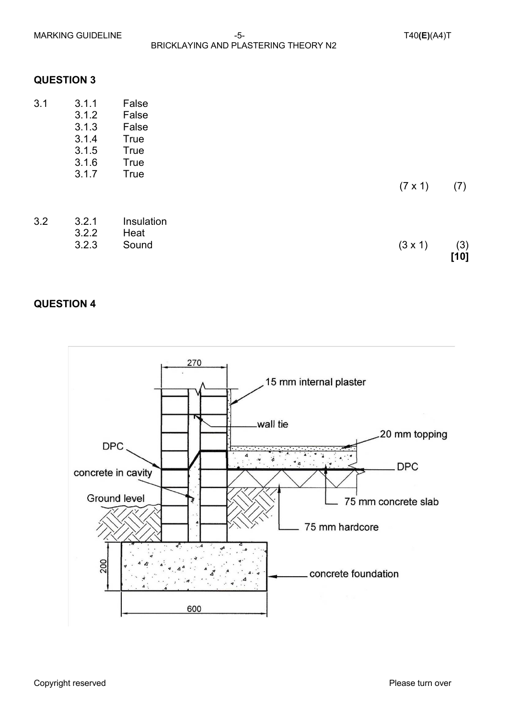MARKING GUIDELINE  $-5$ -<br>T40**(E)**(A4)T BRICKLAYING AND PLASTERING THEORY N2

#### **QUESTION 3**

| 3.1 | 3.1.1<br>3.1.2<br>3.1.3<br>3.1.4 | False<br>False<br>False<br><b>True</b>    |                |               |
|-----|----------------------------------|-------------------------------------------|----------------|---------------|
|     | 3.1.5<br>3.1.6<br>3.1.7          | <b>True</b><br><b>True</b><br><b>True</b> | $(7 \times 1)$ | (7)           |
| 3.2 | 3.2.1<br>3.2.2<br>3.2.3          | Insulation<br>Heat<br>Sound               | $(3 \times 1)$ | (3)<br>$[10]$ |

#### **QUESTION 4**

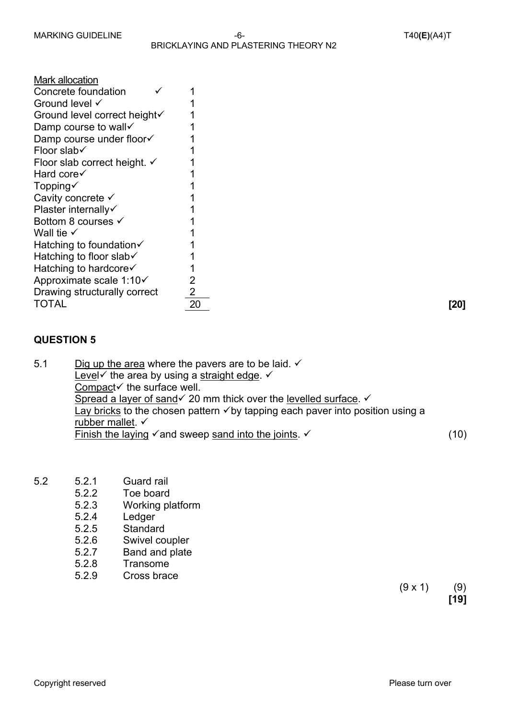| Mark allocation              |                |
|------------------------------|----------------|
| Concrete foundation          |                |
| Ground level √               | 1              |
| Ground level correct height√ | 1              |
| Damp course to wall√         | 1              |
| Damp course under floor√     | 1              |
| Floor slab√                  | 1              |
| Floor slab correct height. ✓ | 1              |
| Hard core√                   | 1              |
| Topping $\checkmark$         | 1              |
| Cavity concrete √            | 1              |
| Plaster internally√          | 1              |
| Bottom 8 courses √           | 1              |
| Wall tie $\checkmark$        | 1              |
| Hatching to foundation√      | 1              |
| Hatching to floor slab√      | 1              |
| Hatching to hardcore√        | 1              |
| Approximate scale 1:10√      | $\overline{2}$ |
| Drawing structurally correct | $\overline{2}$ |
| TOTAL                        | 20             |

20 **[20]**

#### **QUESTION 5**

5.1 Dig up the area where the pavers are to be laid.  $\checkmark$ Level $\checkmark$  the area by using a straight edge.  $\checkmark$ Compact $\checkmark$  the surface well. Spread a layer of sand  $\checkmark$  20 mm thick over the levelled surface.  $\checkmark$ Lay bricks to the chosen pattern  $\checkmark$  by tapping each paver into position using a rubber mallet.  $\checkmark$ Finish the laying  $\checkmark$  and sweep sand into the joints.  $\checkmark$  (10)

- 5.2 5.2.1 Guard rail
	- 5.2.2 Toe board
	- 5.2.3 Working platform
	- 5.2.4 Ledger
	- 5.2.5 Standard
	- 5.2.6 Swivel coupler
	- 5.2.7 Band and plate
	- 5.2.8 Transome
	- 5.2.9 Cross brace

 $(9 \times 1)$  (9) **[19]**